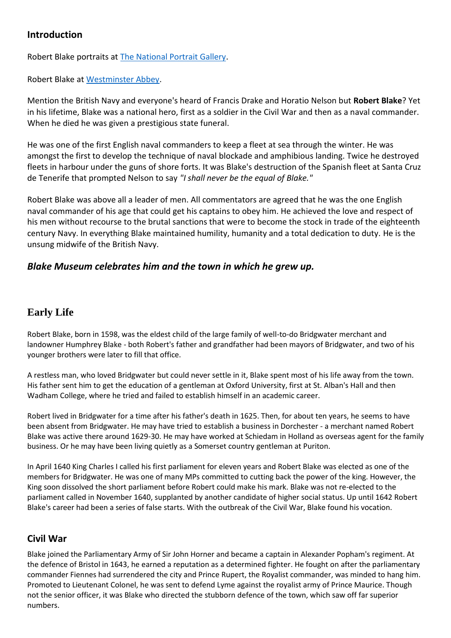# **Introduction**

Robert Blake portraits at [The National Portrait Gallery.](http://www.npg.org.uk/collections/search/person/mp55773/robert-blake?search=sas&sText=Robert+Blake)

Robert Blake at [Westminster Abbey.](http://www.westminster-abbey.org/our-history/people/robert-blake)

Mention the British Navy and everyone's heard of Francis Drake and Horatio Nelson but **Robert Blake**? Yet in his lifetime, Blake was a national hero, first as a soldier in the Civil War and then as a naval commander. When he died he was given a prestigious state funeral.

He was one of the first English naval commanders to keep a fleet at sea through the winter. He was amongst the first to develop the technique of naval blockade and amphibious landing. Twice he destroyed fleets in harbour under the guns of shore forts. It was Blake's destruction of the Spanish fleet at Santa Cruz de Tenerife that prompted Nelson to say *"I shall never be the equal of Blake."*

Robert Blake was above all a leader of men. All commentators are agreed that he was the one English naval commander of his age that could get his captains to obey him. He achieved the love and respect of his men without recourse to the brutal sanctions that were to become the stock in trade of the eighteenth century Navy. In everything Blake maintained humility, humanity and a total dedication to duty. He is the unsung midwife of the British Navy.

# *Blake Museum celebrates him and the town in which he grew up.*

# **Early Life**

Robert Blake, born in 1598, was the eldest child of the large family of well-to-do Bridgwater merchant and landowner Humphrey Blake - both Robert's father and grandfather had been mayors of Bridgwater, and two of his younger brothers were later to fill that office.

A restless man, who loved Bridgwater but could never settle in it, Blake spent most of his life away from the town. His father sent him to get the education of a gentleman at Oxford University, first at St. Alban's Hall and then Wadham College, where he tried and failed to establish himself in an academic career.

Robert lived in Bridgwater for a time after his father's death in 1625. Then, for about ten years, he seems to have been absent from Bridgwater. He may have tried to establish a business in Dorchester - a merchant named Robert Blake was active there around 1629-30. He may have worked at Schiedam in Holland as overseas agent for the family business. Or he may have been living quietly as a Somerset country gentleman at Puriton.

In April 1640 King Charles I called his first parliament for eleven years and Robert Blake was elected as one of the members for Bridgwater. He was one of many MPs committed to cutting back the power of the king. However, the King soon dissolved the short parliament before Robert could make his mark. Blake was not re-elected to the parliament called in November 1640, supplanted by another candidate of higher social status. Up until 1642 Robert Blake's career had been a series of false starts. With the outbreak of the Civil War, Blake found his vocation.

# **Civil War**

Blake joined the Parliamentary Army of Sir John Horner and became a captain in Alexander Popham's regiment. At the defence of Bristol in 1643, he earned a reputation as a determined fighter. He fought on after the parliamentary commander Fiennes had surrendered the city and Prince Rupert, the Royalist commander, was minded to hang him. Promoted to Lieutenant Colonel, he was sent to defend Lyme against the royalist army of Prince Maurice. Though not the senior officer, it was Blake who directed the stubborn defence of the town, which saw off far superior numbers.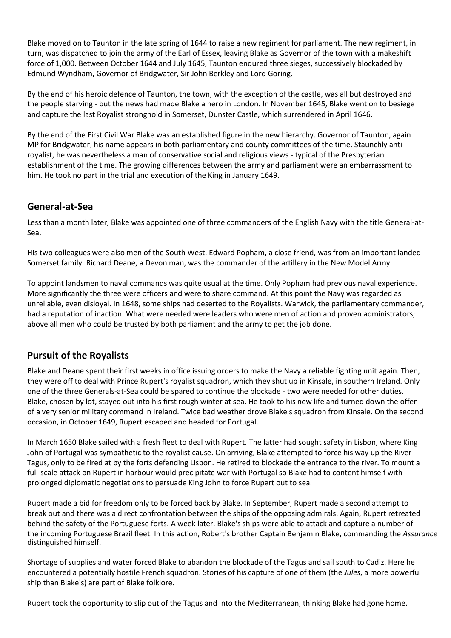Blake moved on to Taunton in the late spring of 1644 to raise a new regiment for parliament. The new regiment, in turn, was dispatched to join the army of the Earl of Essex, leaving Blake as Governor of the town with a makeshift force of 1,000. Between October 1644 and July 1645, Taunton endured three sieges, successively blockaded by Edmund Wyndham, Governor of Bridgwater, Sir John Berkley and Lord Goring.

By the end of his heroic defence of Taunton, the town, with the exception of the castle, was all but destroyed and the people starving - but the news had made Blake a hero in London. In November 1645, Blake went on to besiege and capture the last Royalist stronghold in Somerset, Dunster Castle, which surrendered in April 1646.

By the end of the First Civil War Blake was an established figure in the new hierarchy. Governor of Taunton, again MP for Bridgwater, his name appears in both parliamentary and county committees of the time. Staunchly antiroyalist, he was nevertheless a man of conservative social and religious views - typical of the Presbyterian establishment of the time. The growing differences between the army and parliament were an embarrassment to him. He took no part in the trial and execution of the King in January 1649.

### **General-at-Sea**

Less than a month later, Blake was appointed one of three commanders of the English Navy with the title General-at-Sea.

His two colleagues were also men of the South West. Edward Popham, a close friend, was from an important landed Somerset family. Richard Deane, a Devon man, was the commander of the artillery in the New Model Army.

To appoint landsmen to naval commands was quite usual at the time. Only Popham had previous naval experience. More significantly the three were officers and were to share command. At this point the Navy was regarded as unreliable, even disloyal. In 1648, some ships had deserted to the Royalists. Warwick, the parliamentary commander, had a reputation of inaction. What were needed were leaders who were men of action and proven administrators; above all men who could be trusted by both parliament and the army to get the job done.

# **Pursuit of the Royalists**

Blake and Deane spent their first weeks in office issuing orders to make the Navy a reliable fighting unit again. Then, they were off to deal with Prince Rupert's royalist squadron, which they shut up in Kinsale, in southern Ireland. Only one of the three Generals-at-Sea could be spared to continue the blockade - two were needed for other duties. Blake, chosen by lot, stayed out into his first rough winter at sea. He took to his new life and turned down the offer of a very senior military command in Ireland. Twice bad weather drove Blake's squadron from Kinsale. On the second occasion, in October 1649, Rupert escaped and headed for Portugal.

In March 1650 Blake sailed with a fresh fleet to deal with Rupert. The latter had sought safety in Lisbon, where King John of Portugal was sympathetic to the royalist cause. On arriving, Blake attempted to force his way up the River Tagus, only to be fired at by the forts defending Lisbon. He retired to blockade the entrance to the river. To mount a full-scale attack on Rupert in harbour would precipitate war with Portugal so Blake had to content himself with prolonged diplomatic negotiations to persuade King John to force Rupert out to sea.

Rupert made a bid for freedom only to be forced back by Blake. In September, Rupert made a second attempt to break out and there was a direct confrontation between the ships of the opposing admirals. Again, Rupert retreated behind the safety of the Portuguese forts. A week later, Blake's ships were able to attack and capture a number of the incoming Portuguese Brazil fleet. In this action, Robert's brother Captain Benjamin Blake, commanding the *Assurance* distinguished himself.

Shortage of supplies and water forced Blake to abandon the blockade of the Tagus and sail south to Cadiz. Here he encountered a potentially hostile French squadron. Stories of his capture of one of them (the *Jules*, a more powerful ship than Blake's) are part of Blake folklore.

Rupert took the opportunity to slip out of the Tagus and into the Mediterranean, thinking Blake had gone home.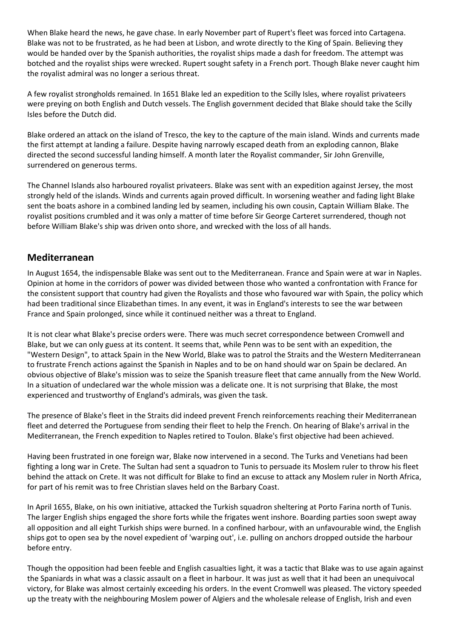When Blake heard the news, he gave chase. In early November part of Rupert's fleet was forced into Cartagena. Blake was not to be frustrated, as he had been at Lisbon, and wrote directly to the King of Spain. Believing they would be handed over by the Spanish authorities, the royalist ships made a dash for freedom. The attempt was botched and the royalist ships were wrecked. Rupert sought safety in a French port. Though Blake never caught him the royalist admiral was no longer a serious threat.

A few royalist strongholds remained. In 1651 Blake led an expedition to the Scilly Isles, where royalist privateers were preying on both English and Dutch vessels. The English government decided that Blake should take the Scilly Isles before the Dutch did.

Blake ordered an attack on the island of Tresco, the key to the capture of the main island. Winds and currents made the first attempt at landing a failure. Despite having narrowly escaped death from an exploding cannon, Blake directed the second successful landing himself. A month later the Royalist commander, Sir John Grenville, surrendered on generous terms.

The Channel Islands also harboured royalist privateers. Blake was sent with an expedition against Jersey, the most strongly held of the islands. Winds and currents again proved difficult. In worsening weather and fading light Blake sent the boats ashore in a combined landing led by seamen, including his own cousin, Captain William Blake. The royalist positions crumbled and it was only a matter of time before Sir George Carteret surrendered, though not before William Blake's ship was driven onto shore, and wrecked with the loss of all hands.

#### **Mediterranean**

In August 1654, the indispensable Blake was sent out to the Mediterranean. France and Spain were at war in Naples. Opinion at home in the corridors of power was divided between those who wanted a confrontation with France for the consistent support that country had given the Royalists and those who favoured war with Spain, the policy which had been traditional since Elizabethan times. In any event, it was in England's interests to see the war between France and Spain prolonged, since while it continued neither was a threat to England.

It is not clear what Blake's precise orders were. There was much secret correspondence between Cromwell and Blake, but we can only guess at its content. It seems that, while Penn was to be sent with an expedition, the "Western Design", to attack Spain in the New World, Blake was to patrol the Straits and the Western Mediterranean to frustrate French actions against the Spanish in Naples and to be on hand should war on Spain be declared. An obvious objective of Blake's mission was to seize the Spanish treasure fleet that came annually from the New World. In a situation of undeclared war the whole mission was a delicate one. It is not surprising that Blake, the most experienced and trustworthy of England's admirals, was given the task.

The presence of Blake's fleet in the Straits did indeed prevent French reinforcements reaching their Mediterranean fleet and deterred the Portuguese from sending their fleet to help the French. On hearing of Blake's arrival in the Mediterranean, the French expedition to Naples retired to Toulon. Blake's first objective had been achieved.

Having been frustrated in one foreign war, Blake now intervened in a second. The Turks and Venetians had been fighting a long war in Crete. The Sultan had sent a squadron to Tunis to persuade its Moslem ruler to throw his fleet behind the attack on Crete. It was not difficult for Blake to find an excuse to attack any Moslem ruler in North Africa, for part of his remit was to free Christian slaves held on the Barbary Coast.

In April 1655, Blake, on his own initiative, attacked the Turkish squadron sheltering at Porto Farina north of Tunis. The larger English ships engaged the shore forts while the frigates went inshore. Boarding parties soon swept away all opposition and all eight Turkish ships were burned. In a confined harbour, with an unfavourable wind, the English ships got to open sea by the novel expedient of 'warping out', i.e. pulling on anchors dropped outside the harbour before entry.

Though the opposition had been feeble and English casualties light, it was a tactic that Blake was to use again against the Spaniards in what was a classic assault on a fleet in harbour. It was just as well that it had been an unequivocal victory, for Blake was almost certainly exceeding his orders. In the event Cromwell was pleased. The victory speeded up the treaty with the neighbouring Moslem power of Algiers and the wholesale release of English, Irish and even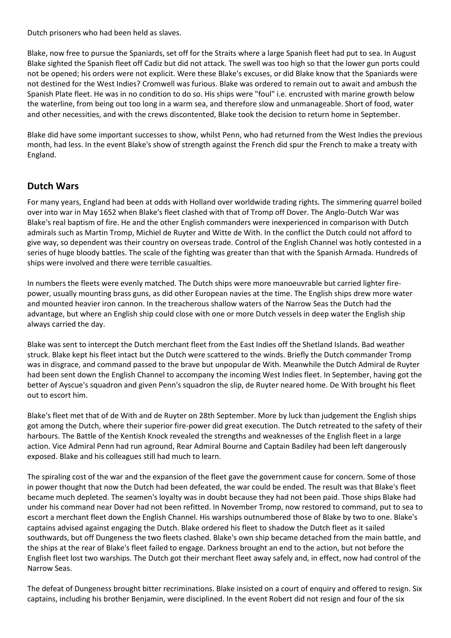Dutch prisoners who had been held as slaves.

Blake, now free to pursue the Spaniards, set off for the Straits where a large Spanish fleet had put to sea. In August Blake sighted the Spanish fleet off Cadiz but did not attack. The swell was too high so that the lower gun ports could not be opened; his orders were not explicit. Were these Blake's excuses, or did Blake know that the Spaniards were not destined for the West Indies? Cromwell was furious. Blake was ordered to remain out to await and ambush the Spanish Plate fleet. He was in no condition to do so. His ships were "foul" i.e. encrusted with marine growth below the waterline, from being out too long in a warm sea, and therefore slow and unmanageable. Short of food, water and other necessities, and with the crews discontented, Blake took the decision to return home in September.

Blake did have some important successes to show, whilst Penn, who had returned from the West Indies the previous month, had less. In the event Blake's show of strength against the French did spur the French to make a treaty with England.

### **Dutch Wars**

For many years, England had been at odds with Holland over worldwide trading rights. The simmering quarrel boiled over into war in May 1652 when Blake's fleet clashed with that of Tromp off Dover. The Anglo-Dutch War was Blake's real baptism of fire. He and the other English commanders were inexperienced in comparison with Dutch admirals such as Martin Tromp, Michiel de Ruyter and Witte de With. In the conflict the Dutch could not afford to give way, so dependent was their country on overseas trade. Control of the English Channel was hotly contested in a series of huge bloody battles. The scale of the fighting was greater than that with the Spanish Armada. Hundreds of ships were involved and there were terrible casualties.

In numbers the fleets were evenly matched. The Dutch ships were more manoeuvrable but carried lighter firepower, usually mounting brass guns, as did other European navies at the time. The English ships drew more water and mounted heavier iron cannon. In the treacherous shallow waters of the Narrow Seas the Dutch had the advantage, but where an English ship could close with one or more Dutch vessels in deep water the English ship always carried the day.

Blake was sent to intercept the Dutch merchant fleet from the East Indies off the Shetland Islands. Bad weather struck. Blake kept his fleet intact but the Dutch were scattered to the winds. Briefly the Dutch commander Tromp was in disgrace, and command passed to the brave but unpopular de With. Meanwhile the Dutch Admiral de Ruyter had been sent down the English Channel to accompany the incoming West Indies fleet. In September, having got the better of Ayscue's squadron and given Penn's squadron the slip, de Ruyter neared home. De With brought his fleet out to escort him.

Blake's fleet met that of de With and de Ruyter on 28th September. More by luck than judgement the English ships got among the Dutch, where their superior fire-power did great execution. The Dutch retreated to the safety of their harbours. The Battle of the Kentish Knock revealed the strengths and weaknesses of the English fleet in a large action. Vice Admiral Penn had run aground, Rear Admiral Bourne and Captain Badiley had been left dangerously exposed. Blake and his colleagues still had much to learn.

The spiraling cost of the war and the expansion of the fleet gave the government cause for concern. Some of those in power thought that now the Dutch had been defeated, the war could be ended. The result was that Blake's fleet became much depleted. The seamen's loyalty was in doubt because they had not been paid. Those ships Blake had under his command near Dover had not been refitted. In November Tromp, now restored to command, put to sea to escort a merchant fleet down the English Channel. His warships outnumbered those of Blake by two to one. Blake's captains advised against engaging the Dutch. Blake ordered his fleet to shadow the Dutch fleet as it sailed southwards, but off Dungeness the two fleets clashed. Blake's own ship became detached from the main battle, and the ships at the rear of Blake's fleet failed to engage. Darkness brought an end to the action, but not before the English fleet lost two warships. The Dutch got their merchant fleet away safely and, in effect, now had control of the Narrow Seas.

The defeat of Dungeness brought bitter recriminations. Blake insisted on a court of enquiry and offered to resign. Six captains, including his brother Benjamin, were disciplined. In the event Robert did not resign and four of the six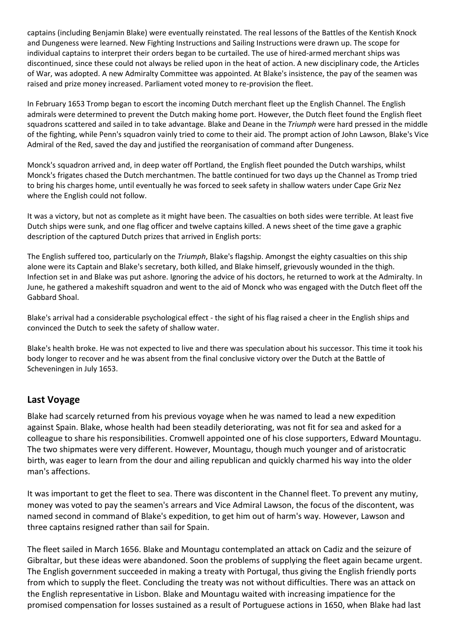captains (including Benjamin Blake) were eventually reinstated. The real lessons of the Battles of the Kentish Knock and Dungeness were learned. New Fighting Instructions and Sailing Instructions were drawn up. The scope for individual captains to interpret their orders began to be curtailed. The use of hired-armed merchant ships was discontinued, since these could not always be relied upon in the heat of action. A new disciplinary code, the Articles of War, was adopted. A new Admiralty Committee was appointed. At Blake's insistence, the pay of the seamen was raised and prize money increased. Parliament voted money to re-provision the fleet.

In February 1653 Tromp began to escort the incoming Dutch merchant fleet up the English Channel. The English admirals were determined to prevent the Dutch making home port. However, the Dutch fleet found the English fleet squadrons scattered and sailed in to take advantage. Blake and Deane in the *Triumph* were hard pressed in the middle of the fighting, while Penn's squadron vainly tried to come to their aid. The prompt action of John Lawson, Blake's Vice Admiral of the Red, saved the day and justified the reorganisation of command after Dungeness.

Monck's squadron arrived and, in deep water off Portland, the English fleet pounded the Dutch warships, whilst Monck's frigates chased the Dutch merchantmen. The battle continued for two days up the Channel as Tromp tried to bring his charges home, until eventually he was forced to seek safety in shallow waters under Cape Griz Nez where the English could not follow.

It was a victory, but not as complete as it might have been. The casualties on both sides were terrible. At least five Dutch ships were sunk, and one flag officer and twelve captains killed. A news sheet of the time gave a graphic description of the captured Dutch prizes that arrived in English ports:

The English suffered too, particularly on the *Triumph*, Blake's flagship. Amongst the eighty casualties on this ship alone were its Captain and Blake's secretary, both killed, and Blake himself, grievously wounded in the thigh. Infection set in and Blake was put ashore. Ignoring the advice of his doctors, he returned to work at the Admiralty. In June, he gathered a makeshift squadron and went to the aid of Monck who was engaged with the Dutch fleet off the Gabbard Shoal.

Blake's arrival had a considerable psychological effect - the sight of his flag raised a cheer in the English ships and convinced the Dutch to seek the safety of shallow water.

Blake's health broke. He was not expected to live and there was speculation about his successor. This time it took his body longer to recover and he was absent from the final conclusive victory over the Dutch at the Battle of Scheveningen in July 1653.

#### **Last Voyage**

Blake had scarcely returned from his previous voyage when he was named to lead a new expedition against Spain. Blake, whose health had been steadily deteriorating, was not fit for sea and asked for a colleague to share his responsibilities. Cromwell appointed one of his close supporters, Edward Mountagu. The two shipmates were very different. However, Mountagu, though much younger and of aristocratic birth, was eager to learn from the dour and ailing republican and quickly charmed his way into the older man's affections.

It was important to get the fleet to sea. There was discontent in the Channel fleet. To prevent any mutiny, money was voted to pay the seamen's arrears and Vice Admiral Lawson, the focus of the discontent, was named second in command of Blake's expedition, to get him out of harm's way. However, Lawson and three captains resigned rather than sail for Spain.

The fleet sailed in March 1656. Blake and Mountagu contemplated an attack on Cadiz and the seizure of Gibraltar, but these ideas were abandoned. Soon the problems of supplying the fleet again became urgent. The English government succeeded in making a treaty with Portugal, thus giving the English friendly ports from which to supply the fleet. Concluding the treaty was not without difficulties. There was an attack on the English representative in Lisbon. Blake and Mountagu waited with increasing impatience for the promised compensation for losses sustained as a result of Portuguese actions in 1650, when Blake had last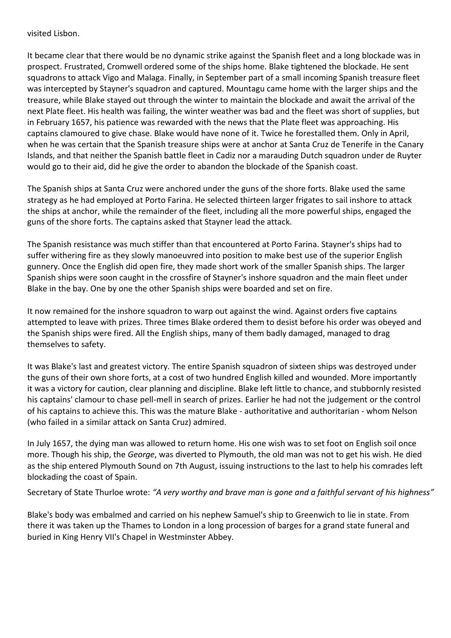visited Lisbon.

It became clear that there would be no dynamic strike against the Spanish fleet and a long blockade was in prospect. Frustrated, Cromwell ordered some of the ships home. Blake tightened the blockade. He sent squadrons to attack Vigo and Malaga. Finally, in September part of a small incoming Spanish treasure fleet was intercepted by Stayner's squadron and captured. Mountagu came home with the larger ships and the treasure, while Blake stayed out through the winter to maintain the blockade and await the arrival of the next Plate fleet. His health was failing, the winter weather was bad and the fleet was short of supplies, but in February 1657, his patience was rewarded with the news that the Plate fleet was approaching. His captains clamoured to give chase. Blake would have none of it. Twice he forestalled them. Only in April, when he was certain that the Spanish treasure ships were at anchor at Santa Cruz de Tenerife in the Canary Islands, and that neither the Spanish battle fleet in Cadiz nor a marauding Dutch squadron under de Ruyter would go to their aid, did he give the order to abandon the blockade of the Spanish coast.

The Spanish ships at Santa Cruz were anchored under the guns of the shore forts. Blake used the same strategy as he had employed at Porto Farina. He selected thirteen larger frigates to sail inshore to attack the ships at anchor, while the remainder of the fleet, including all the more powerful ships, engaged the guns of the shore forts. The captains asked that Stayner lead the attack.

The Spanish resistance was much stiffer than that encountered at Porto Farina. Stayner's ships had to suffer withering fire as they slowly manoeuvred into position to make best use of the superior English gunnery. Once the English did open fire, they made short work of the smaller Spanish ships. The larger Spanish ships were soon caught in the crossfire of Stayner's inshore squadron and the main fleet under Blake in the bay. One by one the other Spanish ships were boarded and set on fire.

It now remained for the inshore squadron to warp out against the wind. Against orders five captains attempted to leave with prizes. Three times Blake ordered them to desist before his order was obeyed and the Spanish ships were fired. All the English ships, many of them badly damaged, managed to drag themselves to safety.

It was Blake's last and greatest victory. The entire Spanish squadron of sixteen ships was destroyed under the guns of their own shore forts, at a cost of two hundred English killed and wounded. More importantly it was a victory for caution, clear planning and discipline. Blake left little to chance, and stubbornly resisted his captains' clamour to chase pell-mell in search of prizes. Earlier he had not the judgement or the control of his captains to achieve this. This was the mature Blake - authoritative and authoritarian - whom Nelson (who failed in a similar attack on Santa Cruz) admired.

In July 1657, the dying man was allowed to return home. His one wish was to set foot on English soil once more. Though his ship, the *George*, was diverted to Plymouth, the old man was not to get his wish. He died as the ship entered Plymouth Sound on 7th August, issuing instructions to the last to help his comrades left blockading the coast of Spain.

Secretary of State Thurloe wrote: *"A very worthy and brave man is gone and a faithful servant of his highness"*

Blake's body was embalmed and carried on his nephew Samuel's ship to Greenwich to lie in state. From there it was taken up the Thames to London in a long procession of barges for a grand state funeral and buried in King Henry VII's Chapel in Westminster Abbey.